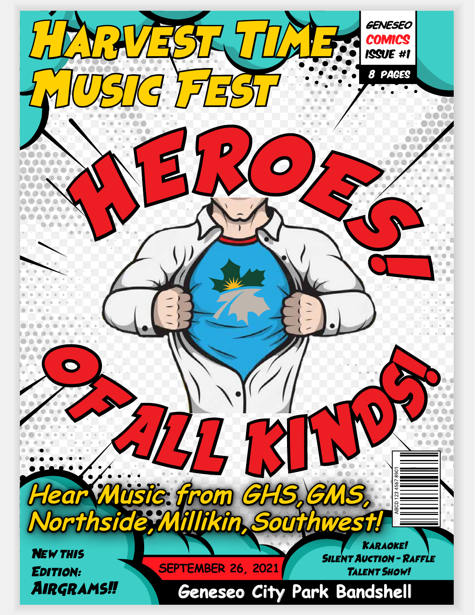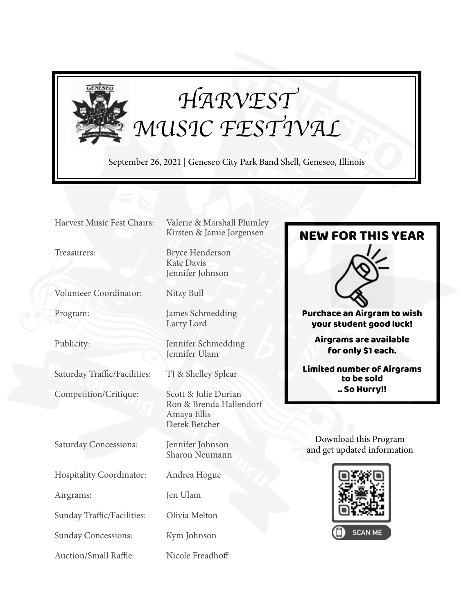

# *HARVEST MUSIC FESTIVAL*

September 26, 2021 | Geneseo City Park Band Shell, Geneseo, Illinois

Volunteer Coordinator: Nitzy Bull

Saturday Traffic/Facilities: TJ & Shelley Splear

Competition/Critique: Scott & Julie Durian

Saturday Concessions: Jennifer Johnson

Hospitality Coordinator: Andrea Hogue

Airgrams: Jen Ulam

Sunday Traffic/Facilities: Olivia Melton

Sunday Concessions: Kym Johnson

Auction/Small Raffle: Nicole Freadhoff

Harvest Music Fest Chairs: Valerie & Marshall Plumley Kirsten & Jamie Jorgensen

Treasurers: Bryce Henderson Kate Davis Jennifer Johnson

Program: James Schmedding Larry Lord

Publicity: Jennifer Schmedding Jennifer Ulam

 Ron & Brenda Hallendorf Amaya Ellis Derek Betcher

Sharon Neumann



Download this Program and get updated information

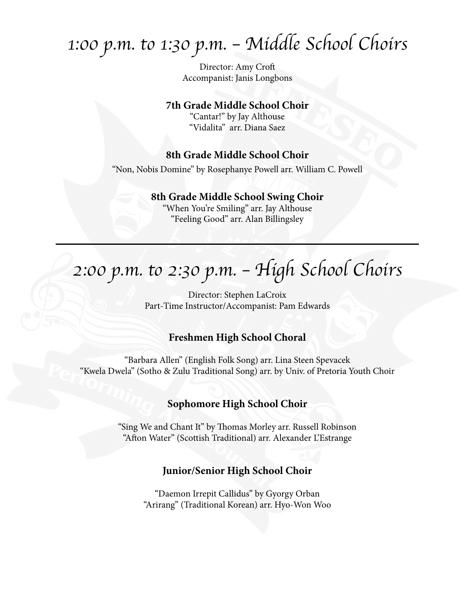# *1:00 p.m. to 1:30 p.m. – Middle School Choirs*

Director: Amy Croft Accompanist: Janis Longbons

#### **7th Grade Middle School Choir**

"Cantar!" by Jay Althouse "Vidalita" arr. Diana Saez

### **8th Grade Middle School Choir**

"Non, Nobis Domine" by Rosephanye Powell arr. William C. Powell

#### **8th Grade Middle School Swing Choir**

"When You're Smiling" arr. Jay Althouse "Feeling Good" arr. Alan Billingsley

# *2:00 p.m. to 2:30 p.m. – High School Choirs*

Director: Stephen LaCroix Part-Time Instructor/Accompanist: Pam Edwards

### **Freshmen High School Choral**

"Barbara Allen" (English Folk Song) arr. Lina Steen Spevacek "Kwela Dwela" (Sotho & Zulu Traditional Song) arr. by Univ. of Pretoria Youth Choir

### **Sophomore High School Choir**

"Sing We and Chant It" by Thomas Morley arr. Russell Robinson "Afton Water" (Scottish Traditional) arr. Alexander L'Estrange

#### **Junior/Senior High School Choir**

"Daemon Irrepit Callidus" by Gyorgy Orban "Arirang" (Traditional Korean) arr. Hyo-Won Woo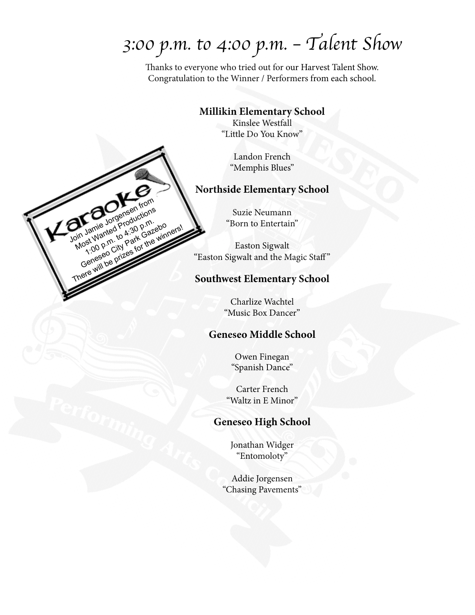# *3:00 p.m. to 4:00 p.m. – Talent Show*

Thanks to everyone who tried out for our Harvest Talent Show. Congratulation to the Winner / Performers from each school.

### **Millikin Elementary School**

Kinslee Westfall "Little Do You Know"

> Landon French "Memphis Blues"

## **Northside Elementary School**

Suzie Neumann "Born to Entertain"

Join James Jorgensen from Most Wanted Productions Property And Park Gazebo Center of the winning There will be prizes for the winners!

Easton Sigwalt "Easton Sigwalt and the Magic Staff"

### **Southwest Elementary School**

Charlize Wachtel "Music Box Dancer"

### **Geneseo Middle School**

Owen Finegan "Spanish Dance"

Carter French "Waltz in E Minor"

## **Geneseo High School**

Jonathan Widger "Entomoloty"

Addie Jorgensen "Chasing Pavements"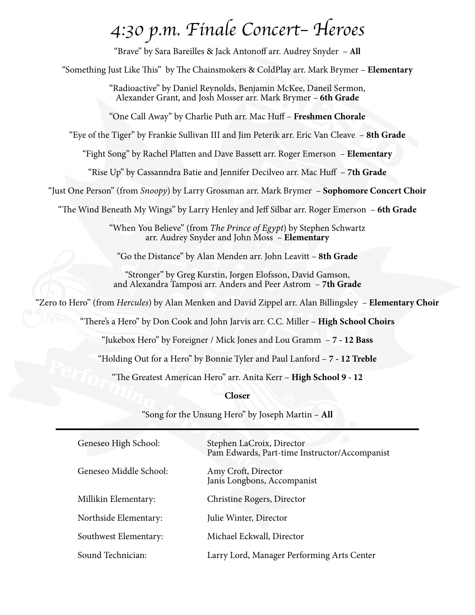# *4:30 p.m. Finale Concert– Heroes*

"Brave" by Sara Bareilles & Jack Antonoff arr. Audrey Snyder – **All**

"Something Just Like This" by The Chainsmokers & ColdPlay arr. Mark Brymer – **Elementary**

"Radioactive" by Daniel Reynolds, Benjamin McKee, Daneil Sermon, Alexander Grant, and Josh Mosser arr. Mark Brymer – **6th Grade**

"One Call Away" by Charlie Puth arr. Mac Huff – **Freshmen Chorale**

"Eye of the Tiger" by Frankie Sullivan III and Jim Peterik arr. Eric Van Cleave – **8th Grade**

"Fight Song" by Rachel Platten and Dave Bassett arr. Roger Emerson – **Elementary**

"Rise Up" by Cassanndra Batie and Jennifer Decilveo arr. Mac Huff – **7th Grade**

"Just One Person" (from *Snoopy*) by Larry Grossman arr. Mark Brymer – **Sophomore Concert Choir**

"The Wind Beneath My Wings" by Larry Henley and Jeff Silbar arr. Roger Emerson – **6th Grade**

"When You Believe" (from *The Prince of Egypt*) by Stephen Schwartz arr. Audrey Snyder and John Moss – **Elementary**

"Go the Distance" by Alan Menden arr. John Leavitt – **8th Grade**

"Stronger" by Greg Kurstin, Jorgen Elofsson, David Gamson, and Alexandra Tamposi arr. Anders and Peer Astrom – **7th Grade**

"Zero to Hero" (from *Hercules*) by Alan Menken and David Zippel arr. Alan Billingsley – **Elementary Choir**

"There's a Hero" by Don Cook and John Jarvis arr. C.C. Miller – **High School Choirs**

"Jukebox Hero" by Foreigner / Mick Jones and Lou Gramm – **7 - 12 Bass**

"Holding Out for a Hero" by Bonnie Tyler and Paul Lanford – **7 - 12 Treble**

"The Greatest American Hero" arr. Anita Kerr – **High School 9 - 12**

**Closer**

"Song for the Unsung Hero" by Joseph Martin – **All**

| Geneseo High School:   | Stephen LaCroix, Director<br>Pam Edwards, Part-time Instructor/Accompanist |
|------------------------|----------------------------------------------------------------------------|
| Geneseo Middle School: | Amy Croft, Director<br>Janis Longbons, Accompanist                         |
| Millikin Elementary:   | Christine Rogers, Director                                                 |
| Northside Elementary:  | Julie Winter, Director                                                     |
| Southwest Elementary:  | Michael Eckwall, Director                                                  |
| Sound Technician:      | Larry Lord, Manager Performing Arts Center                                 |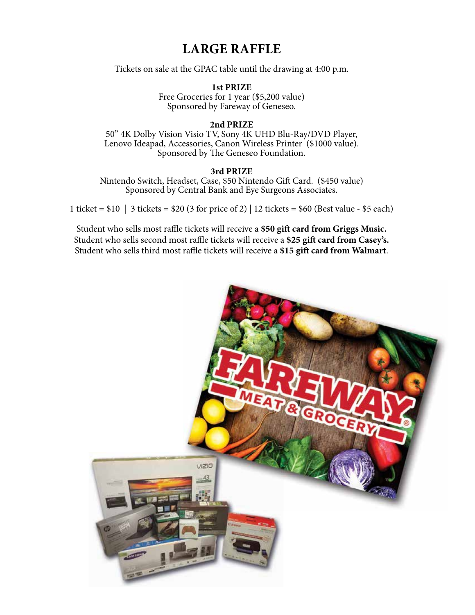# **LARGE RAFFLE**

Tickets on sale at the GPAC table until the drawing at 4:00 p.m.

**1st PRIZE** Free Groceries for 1 year (\$5,200 value) Sponsored by Fareway of Geneseo.

#### **2nd PRIZE**

50" 4K Dolby Vision Visio TV, Sony 4K UHD Blu-Ray/DVD Player, Lenovo Ideapad, Accessories, Canon Wireless Printer (\$1000 value). Sponsored by The Geneseo Foundation.

#### **3rd PRIZE**

Nintendo Switch, Headset, Case, \$50 Nintendo Gift Card. (\$450 value) Sponsored by Central Bank and Eye Surgeons Associates.

1 ticket = \$10 | 3 tickets = \$20 (3 for price of 2) | 12 tickets = \$60 (Best value - \$5 each)

Student who sells most raffle tickets will receive a **\$50 gift card from Griggs Music.** Student who sells second most raffle tickets will receive a **\$25 gift card from Casey's.** Student who sells third most raffle tickets will receive a **\$15 gift card from Walmart**.

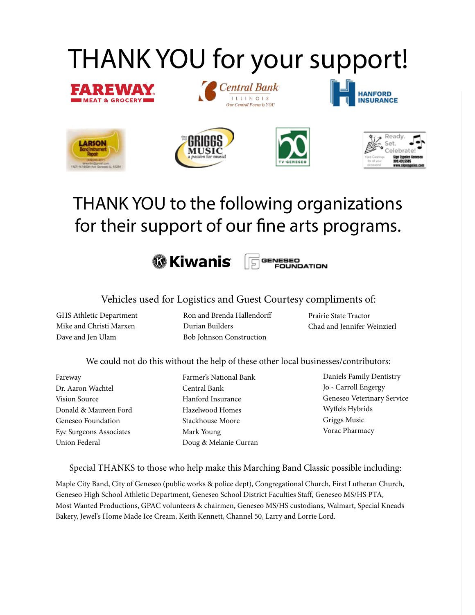# THANK YOU for your support!















# THANK YOU to the following organizations for their support of our fine arts programs.

**<sup>6</sup> Kiwanis** GENESEO Ε **FOUNDATION** 

Vehicles used for Logistics and Guest Courtesy compliments of:

GHS Athletic Department Mike and Christi Marxen Dave and Jen Ulam

Ron and Brenda Hallendorff Durian Builders Bob Johnson Construction

Prairie State Tractor Chad and Jennifer Weinzierl

We could not do this without the help of these other local businesses/contributors:

Fareway Dr. Aaron Wachtel Vision Source Donald & Maureen Ford Geneseo Foundation Eye Surgeons Associates Union Federal

Farmer's National Bank Central Bank Hanford Insurance Hazelwood Homes Stackhouse Moore Mark Young Doug & Melanie Curran Daniels Family Dentistry Jo - Carroll Engergy Geneseo Veterinary Service Wyffels Hybrids Griggs Music Vorac Pharmacy

Special THANKS to those who help make this Marching Band Classic possible including:

Maple City Band, City of Geneseo (public works & police dept), Congregational Church, First Lutheran Church, Geneseo High School Athletic Department, Geneseo School District Faculties Staff, Geneseo MS/HS PTA, Most Wanted Productions, GPAC volunteers & chairmen, Geneseo MS/HS custodians, Walmart, Special Kneads Bakery, Jewel's Home Made Ice Cream, Keith Kennett, Channel 50, Larry and Lorrie Lord.